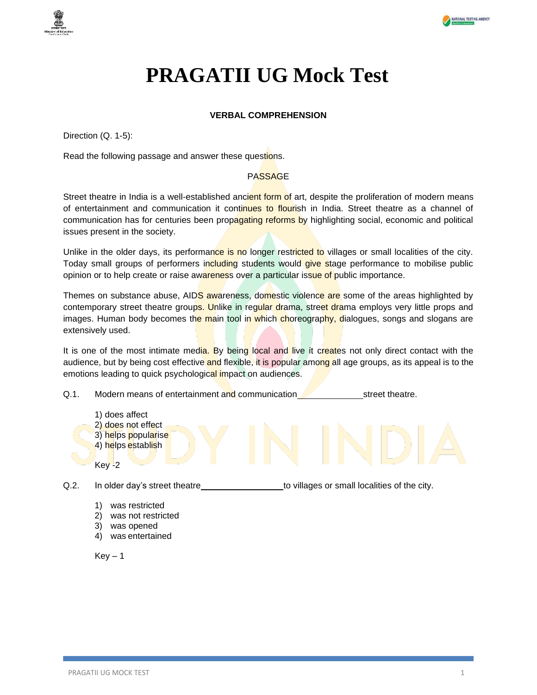

## **PRAGATII UG Mock Test**

#### **VERBAL COMPREHENSION**

Direction (Q. 1-5):

Read the following passage and answer these questions.

#### PASSAGE

Street theatre in India is a well-established ancient form of art, despite the proliferation of modern means of entertainment and communication it continues to flourish in India. Street theatre as a channel of communication has for centuries been propagating reforms by highlighting social, economic and political issues present in the society.

Unlike in the older days, its performance is no longer restricted to villages or small localities of the city. Today small groups of performers including students would give stage performance to mobilise public opinion or to help create or raise awareness over a particular issue of public importance.

Themes on substance abuse, AIDS awareness, domestic violence are some of the areas highlighted by contemporary street theatre groups. Unlike in regular drama, street drama employs very little props and images. Human body becomes the main tool in which choreography, dialogues, songs and slogans are extensively used.

It is one of the most intimate media. By being local and live it creates not only direct contact with the audience, but by being cost effective and flexible, it is popular among all age groups, as its appeal is to the emotions leading to quick psychological impact on audiences.



Q.2. In older day's street theatre to villages or small localities of the city.

- 1) was restricted
- 2) was not restricted
- 3) was opened
- 4) was entertained

 $Kev - 1$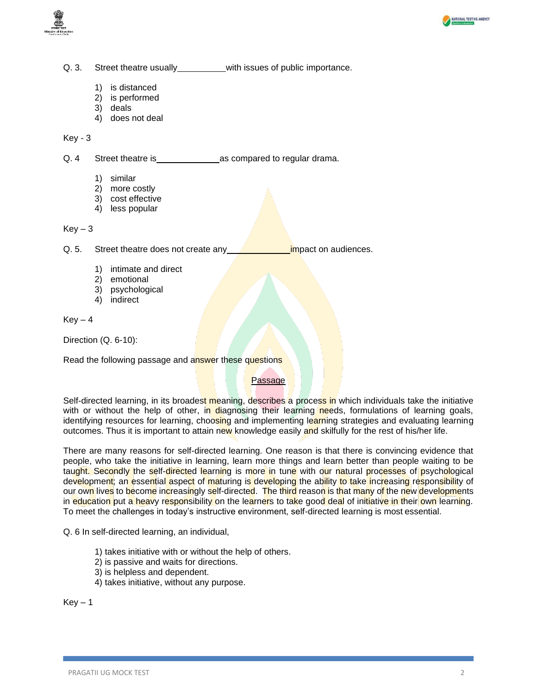



Q. 3. Street theatre usually\_\_\_\_\_\_\_\_\_with issues of public importance.

- 1) is distanced
- 2) is performed
- 3) deals
- 4) does not deal

Key - 3

Q. 4 Street theatre is as compared to regular drama.

- 1) similar
- 2) more costly
- 3) cost effective
- 4) less popular

 $Key - 3$ 

Q. 5. Street theatre does not create any **impact on audiences**.

- 1) intimate and direct
- 2) emotional
- 3) psychological
- 4) indirect

 $Kev - 4$ 

Direction (Q. 6-10):

Read the following passage and answer these questions

#### Passage

Self-directed learning, in its broadest meaning, describes a process in which individuals take the initiative with or without the help of other, in diagnosing their learning needs, formulations of learning goals, identifying resources for learning, choosing and implementing learning strategies and evaluating learning outcomes. Thus it is important to attain new knowledge easily and skilfully for the rest of his/her life.

There are many reasons for self-directed learning. One reason is that there is convincing evidence that people, who take the initiative in learning, learn more things and learn better than people waiting to be taught. Secondly the self-directed learning is more in tune with our natural processes of psychological development; an essential aspect of maturing is developing the ability to take increasing responsibility of our own lives to become increasingly self-directed. The third reason is that many of the new developments in education put a heavy responsibility on the learners to take good deal of initiative in their own learning. To meet the challenges in today's instructive environment, self-directed learning is most essential.

Q. 6 In self-directed learning, an individual,

- 1) takes initiative with or without the help of others.
- 2) is passive and waits for directions.
- 3) is helpless and dependent.
- 4) takes initiative, without any purpose.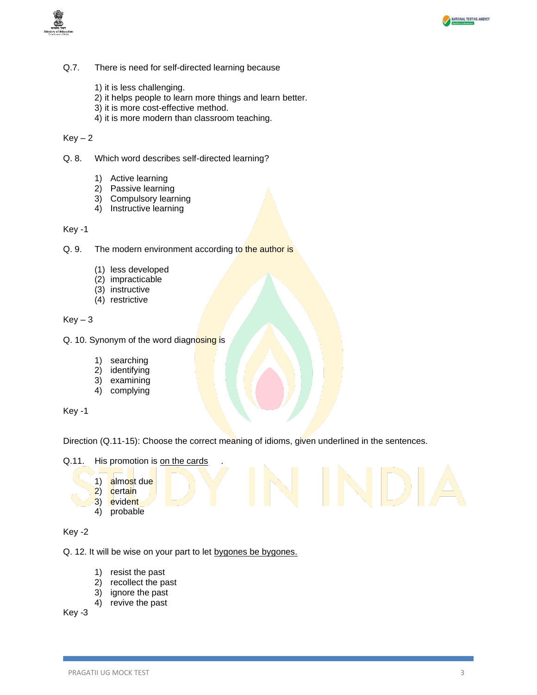



- Q.7. There is need for self-directed learning because
	- 1) it is less challenging.
	- 2) it helps people to learn more things and learn better.
	- 3) it is more cost-effective method.
	- 4) it is more modern than classroom teaching.

- Q. 8. Which word describes self-directed learning?
	- 1) Active learning
	- 2) Passive learning
	- 3) Compulsory learning
	- 4) Instructive learning

Key -1

- Q. 9. The modern environment according to the author is
	- (1) less developed
	- (2) impracticable
	- (3) instructive
	- (4) restrictive

 $Key - 3$ 

- Q. 10. Synonym of the word diagnosing is
	- 1) searching
	- 2) identifying
	- 3) examining
	- 4) complying

Key -1

Direction (Q.11-15): Choose the correct meaning of idioms, given underlined in the sentences.

Q.11. His promotion is on the cards

- 1) almost due
- 2) certain
- 3) evident
- 4) probable

Key -2

Q. 12. It will be wise on your part to let bygones be bygones.

- 1) resist the past
- 2) recollect the past
- 3) ignore the past
- 4) revive the past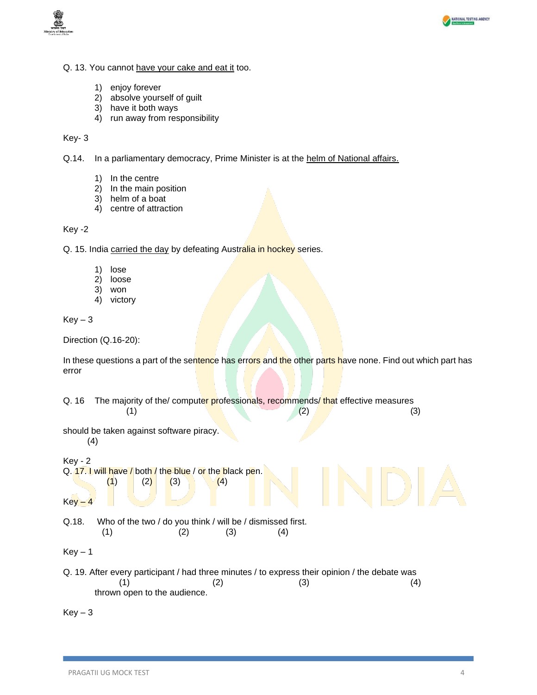



- Q. 13. You cannot have your cake and eat it too.
	- 1) enjoy forever
	- 2) absolve yourself of guilt
	- 3) have it both ways
	- 4) run away from responsibility

Key- 3

Q.14. In a parliamentary democracy, Prime Minister is at the helm of National affairs.

- 1) In the centre
- 2) In the main position
- 3) helm of a boat
- 4) centre of attraction

Key -2

Q. 15. India carried the day by defeating Australia in hockey series.

- 1) lose
- 2) loose
- 3) won
- 4) victory

 $Key - 3$ 

Direction (Q.16-20):

In these questions a part of the sentence has errors and the other parts have none. Find out which part has error

| Q. 16     | (1)                                                                    |     |     | (2) | The majority of the/computer professionals, recommends/ that effective measures<br>(3)                |
|-----------|------------------------------------------------------------------------|-----|-----|-----|-------------------------------------------------------------------------------------------------------|
|           | should be taken against software piracy.<br>(4)                        |     |     |     |                                                                                                       |
| $Key - 2$ |                                                                        |     |     |     |                                                                                                       |
|           | Q. 17. I will have / both / the blue / or the black pen.<br>(2)<br>(1) | (3) | (4) |     |                                                                                                       |
| $Key - 4$ |                                                                        |     |     |     |                                                                                                       |
| Q.18.     | Who of the two / do you think / will be / dismissed first.             |     |     |     |                                                                                                       |
|           | (1)                                                                    | (2) | (3) | (4) |                                                                                                       |
| $Key - 1$ |                                                                        |     |     |     |                                                                                                       |
|           | (1)<br>thrown open to the audience.                                    |     | (2) | (3) | Q. 19. After every participant / had three minutes / to express their opinion / the debate was<br>(4) |
| $Key-3$   |                                                                        |     |     |     |                                                                                                       |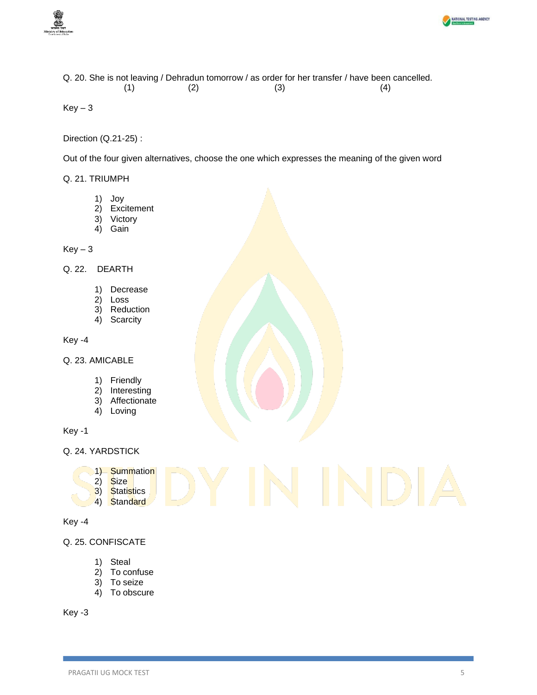



Q. 20. She is not leaving / Dehradun tomorrow / as order for her transfer / have been cancelled.  $(1)$   $(2)$   $(3)$   $(4)$ 

 $Key - 3$ 

Direction (Q.21-25) :

Out of the four given alternatives, choose the one which expresses the meaning of the given word

Q. 21. TRIUMPH

- 1) Joy
- 2) Excitement
- 3) Victory
- 4) Gain

 $Key-3$ 

- Q. 22. DEARTH
	- 1) Decrease
	- 2) Loss
	- 3) Reduction
	- 4) Scarcity

Key -4

- Q. 23. AMICABLE
	- 1) Friendly
	- 2) Interesting
	- 3) Affectionate
	- 4) Loving

Key -1

Q. 24. YARDSTICK

- 1) Summation
- 2) Size
- 3) Statistics
	- 4) Standard

```
Key -4
```
Q. 25. CONFISCATE

- 1) Steal
- 2) To confuse
- 3) To seize
- 4) To obscure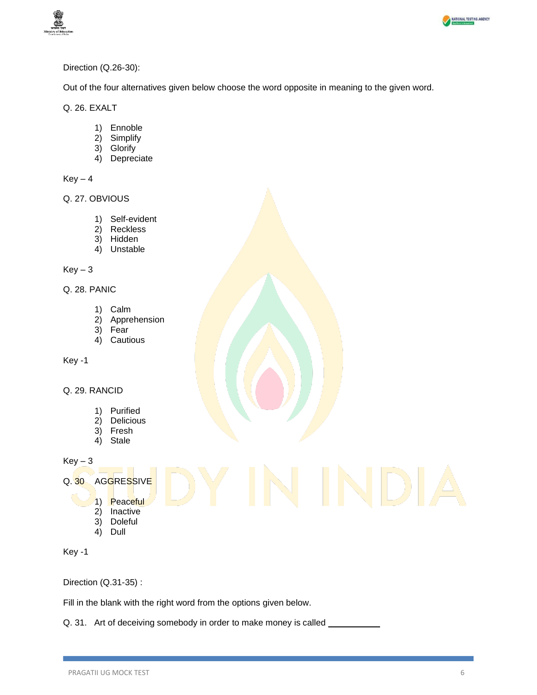



#### Direction (Q.26-30):

Out of the four alternatives given below choose the word opposite in meaning to the given word.

Q. 26. EXALT

- 1) Ennoble
- 2) Simplify
- 3) Glorify
- 4) Depreciate

 $Key - 4$ 

Q. 27. OBVIOUS

- 1) Self-evident
- 2) Reckless
- 3) Hidden
- 4) Unstable

 $Key - 3$ 

Q. 28. PANIC

- 1) Calm
- 2) Apprehension
- 3) Fear
- 4) Cautious

Key -1

#### Q. 29. RANCID

- 1) Purified
- 2) Delicious
- 3) Fresh
- 4) Stale

 $Key - 3$ 

#### Q. 30 AGGRESSIVE

- 1) Peaceful
- 2) Inactive
- 3) Doleful
- 4) Dull

Key -1

Direction (Q.31-35) :

Fill in the blank with the right word from the options given below.

Q. 31. Art of deceiving somebody in order to make money is called \_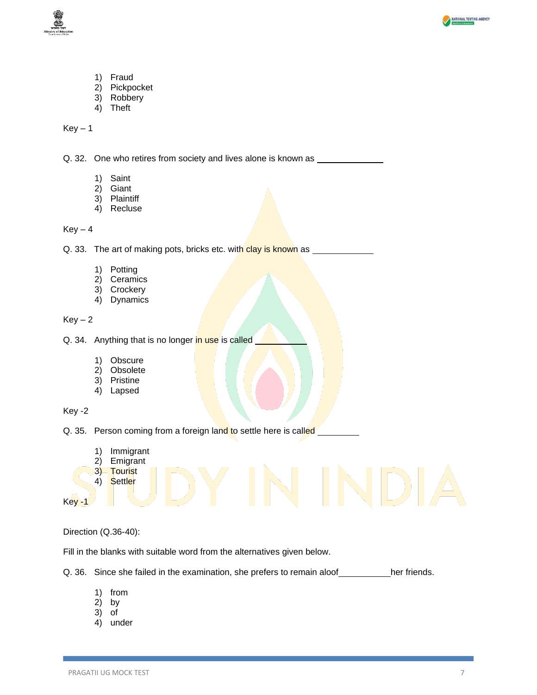



- 1) Fraud
- 2) Pickpocket
- 3) Robbery
- 4) Theft

Q. 32. One who retires from society and lives alone is known as \_

- 1) Saint
- 2) Giant
- 3) Plaintiff
- 4) Recluse

#### $Key - 4$

Q. 33. The art of making pots, bricks etc. with clay is known as

- 1) Potting
- 2) Ceramics
- 3) Crockery
- 4) Dynamics

 $Key - 2$ 

- Q. 34. Anything that is no longer in use is called
	- 1) Obscure
	- 2) Obsolete
	- 3) Pristine
	- 4) Lapsed

Key -2

Q. 35. Person coming from a foreign land to settle here is called

- 1) Immigrant
- 2) Emigrant
- 3) Tourist
- 4) Settler

Key -1

Direction (Q.36-40):

Fill in the blanks with suitable word from the alternatives given below.

Q. 36. Since she failed in the examination, she prefers to remain aloof her friends.

- 1) from
- 2) by
- 3) of
- 4) under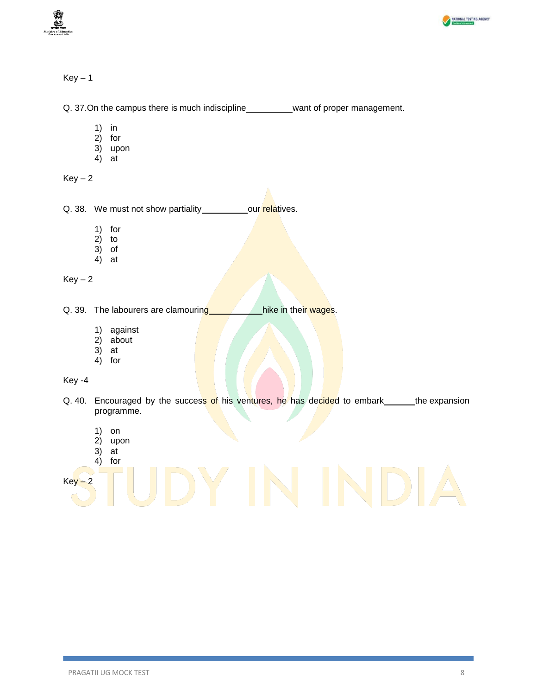



Q. 37. On the campus there is much indiscipline want of proper management.

- 1) in
- 2) for
- 3) upon
- 4) at

 $Key - 2$ 

Q. 38. We must not show partiality our relatives.

- 1) for
- 2) to
- 3) of
- 4) at

 $Key-2$ 

Q. 39. The labourers are clamouring hike in their wages.

- 1) against
- 2) about
- 3) at
- 4) for

Key -4

- Q. 40. Encouraged by the success of his ventures, he has decided to embark the expansion programme.
	- 1) on
	- 2) upon
	- 3) at

# 4) for  $Key - 2$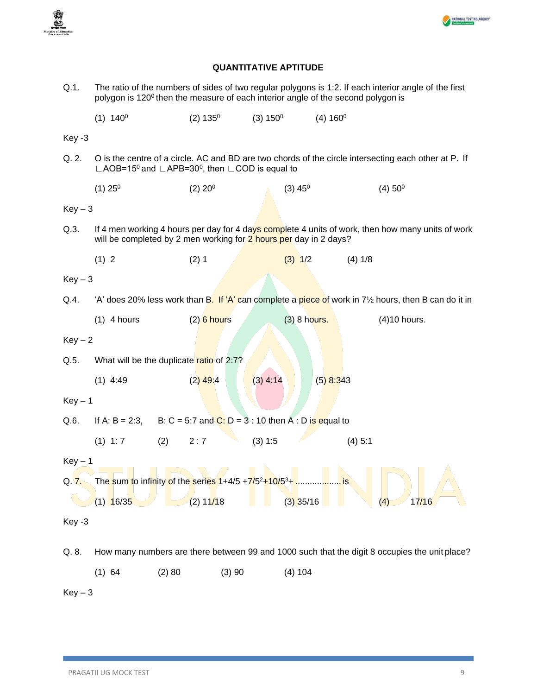



### **QUANTITATIVE APTITUDE**

| $Q.1$ .   | The ratio of the numbers of sides of two regular polygons is 1:2. If each interior angle of the first<br>polygon is 120 <sup>0</sup> then the measure of each interior angle of the second polygon is |                                                                                    |             |                       |                        |                                                                                               |  |
|-----------|-------------------------------------------------------------------------------------------------------------------------------------------------------------------------------------------------------|------------------------------------------------------------------------------------|-------------|-----------------------|------------------------|-----------------------------------------------------------------------------------------------|--|
|           | $(1) 140^0$                                                                                                                                                                                           | (2) 135 <sup>0</sup>                                                               | $(3) 150^0$ |                       | $(4) 160$ <sup>0</sup> |                                                                                               |  |
| Key -3    |                                                                                                                                                                                                       |                                                                                    |             |                       |                        |                                                                                               |  |
| Q. 2.     | O is the centre of a circle. AC and BD are two chords of the circle intersecting each other at P. If<br>$\Box$ AOB=15 <sup>0</sup> and $\Box$ APB=30 <sup>0</sup> , then $\Box$ COD is equal to       |                                                                                    |             |                       |                        |                                                                                               |  |
|           | (1) 25 <sup>0</sup>                                                                                                                                                                                   | (2) 20 <sup>0</sup>                                                                |             | $(3)$ 45 <sup>0</sup> |                        | (4) 50 <sup>0</sup>                                                                           |  |
| $Key-3$   |                                                                                                                                                                                                       |                                                                                    |             |                       |                        |                                                                                               |  |
| Q.3.      | If 4 men working 4 hours per day for 4 days complete 4 units of work, then how many units of work<br>will be completed by 2 men working for 2 hours per day in 2 days?                                |                                                                                    |             |                       |                        |                                                                                               |  |
|           | (1) 2                                                                                                                                                                                                 | (2) 1                                                                              |             | $(3)$ 1/2             | (4) 1/8                |                                                                                               |  |
| $Key-3$   |                                                                                                                                                                                                       |                                                                                    |             |                       |                        |                                                                                               |  |
| Q.4.      | 'A' does 20% less work than B. If 'A' can complete a piece of work in 71/2 hours, then B can do it in                                                                                                 |                                                                                    |             |                       |                        |                                                                                               |  |
|           | $(1)$ 4 hours                                                                                                                                                                                         | $(2)$ 6 hours                                                                      |             | (3) 8 hours.          |                        | (4)10 hours.                                                                                  |  |
| $Key-2$   |                                                                                                                                                                                                       |                                                                                    |             |                       |                        |                                                                                               |  |
| Q.5.      |                                                                                                                                                                                                       | What will be the duplicate ratio of 2:7?                                           |             |                       |                        |                                                                                               |  |
|           | $(1)$ 4:49                                                                                                                                                                                            | $(2)$ 49:4                                                                         | $(3)$ 4:14  |                       | $(5)$ 8:343            |                                                                                               |  |
| $Key - 1$ |                                                                                                                                                                                                       |                                                                                    |             |                       |                        |                                                                                               |  |
| Q.6.      | B: C = 5:7 and C: D = 3 : 10 then A : D is equal to<br>If A: $B = 2:3$ ,                                                                                                                              |                                                                                    |             |                       |                        |                                                                                               |  |
|           | $(1)$ 1:7                                                                                                                                                                                             | (2)<br>2:7                                                                         | (3) 1:5     |                       | (4) 5:1                |                                                                                               |  |
| $Key - 1$ |                                                                                                                                                                                                       |                                                                                    |             |                       |                        |                                                                                               |  |
| Q. 7.     |                                                                                                                                                                                                       | The sum to infinity of the series 1+4/5 +7/5 <sup>2</sup> +10/5 <sup>3</sup> +  is |             |                       |                        |                                                                                               |  |
|           | $(1)$ 16/35                                                                                                                                                                                           | (2) 11/18                                                                          |             | $(3)$ 35/16           |                        | 17/16<br>(4)                                                                                  |  |
| Key -3    |                                                                                                                                                                                                       |                                                                                    |             |                       |                        |                                                                                               |  |
| Q. 8.     |                                                                                                                                                                                                       |                                                                                    |             |                       |                        | How many numbers are there between 99 and 1000 such that the digit 8 occupies the unit place? |  |
|           | $(1)$ 64                                                                                                                                                                                              | (2) 80                                                                             | (3)90       | (4) 104               |                        |                                                                                               |  |
| $Key-3$   |                                                                                                                                                                                                       |                                                                                    |             |                       |                        |                                                                                               |  |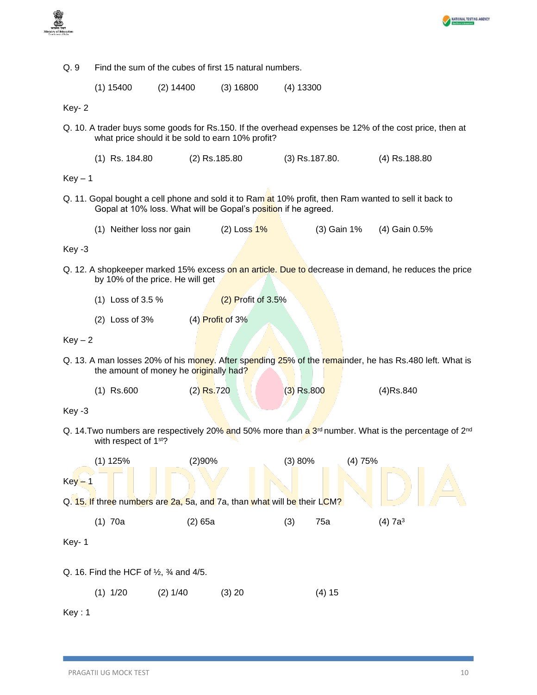



| Q.9                                                                                                                                                                     | Find the sum of the cubes of first 15 natural numbers. |                                  |                          |              |                |                                                                                                      |  |  |  |
|-------------------------------------------------------------------------------------------------------------------------------------------------------------------------|--------------------------------------------------------|----------------------------------|--------------------------|--------------|----------------|------------------------------------------------------------------------------------------------------|--|--|--|
|                                                                                                                                                                         | $(1)$ 15400                                            | $(2)$ 14400                      | $(3)$ 16800              | $(4)$ 13300  |                |                                                                                                      |  |  |  |
| Key-2                                                                                                                                                                   |                                                        |                                  |                          |              |                |                                                                                                      |  |  |  |
| Q. 10. A trader buys some goods for Rs.150. If the overhead expenses be 12% of the cost price, then at<br>what price should it be sold to earn 10% profit?              |                                                        |                                  |                          |              |                |                                                                                                      |  |  |  |
|                                                                                                                                                                         | $(1)$ Rs. 184.80<br>(2) Rs.185.80                      |                                  |                          |              | (3) Rs.187.80. | (4) Rs.188.80                                                                                        |  |  |  |
| $Key - 1$                                                                                                                                                               |                                                        |                                  |                          |              |                |                                                                                                      |  |  |  |
| Q. 11. Gopal bought a cell phone and sold it to Ram at 10% profit, then Ram wanted to sell it back to<br>Gopal at 10% loss. What will be Gopal's position if he agreed. |                                                        |                                  |                          |              |                |                                                                                                      |  |  |  |
|                                                                                                                                                                         | (1) Neither loss nor gain                              |                                  | (2) Loss <mark>1%</mark> |              | (3) Gain 1%    | (4) Gain 0.5%                                                                                        |  |  |  |
| Key -3                                                                                                                                                                  |                                                        |                                  |                          |              |                |                                                                                                      |  |  |  |
|                                                                                                                                                                         |                                                        | by 10% of the price. He will get |                          |              |                | Q. 12. A shopkeeper marked 15% excess on an article. Due to decrease in demand, he reduces the price |  |  |  |
|                                                                                                                                                                         | (1) Loss of 3.5 %<br>$(2)$ Profit of 3.5%              |                                  |                          |              |                |                                                                                                      |  |  |  |
|                                                                                                                                                                         | (4) Profit of 3%<br>$(2)$ Loss of 3%                   |                                  |                          |              |                |                                                                                                      |  |  |  |
| $Key-2$                                                                                                                                                                 |                                                        |                                  |                          |              |                |                                                                                                      |  |  |  |
| Q. 13. A man losses 20% of his money. After spending 25% of the remainder, he has Rs.480 left. What is<br>the amount of money he originally had?                        |                                                        |                                  |                          |              |                |                                                                                                      |  |  |  |
|                                                                                                                                                                         | $(1)$ Rs.600                                           | $(2)$ Rs.720                     |                          | $(3)$ Rs.800 |                | $(4)$ Rs.840                                                                                         |  |  |  |
| Key -3                                                                                                                                                                  |                                                        |                                  |                          |              |                |                                                                                                      |  |  |  |
| Q. 14. Two numbers are respectively 20% and 50% more than $a^{3^{rd}}$ number. What is the percentage of 2 <sup>nd</sup><br>with respect of 1 <sup>st?</sup>            |                                                        |                                  |                          |              |                |                                                                                                      |  |  |  |
|                                                                                                                                                                         | (2)90%<br>$(1)$ 125%<br>(3) 80%<br>(4)75%              |                                  |                          |              |                |                                                                                                      |  |  |  |
| $Key - 1$                                                                                                                                                               |                                                        |                                  |                          |              |                |                                                                                                      |  |  |  |
| Q. 15. If three numbers are 2a, 5a, and 7a, than what will be their LCM?                                                                                                |                                                        |                                  |                          |              |                |                                                                                                      |  |  |  |
|                                                                                                                                                                         | $(1)$ 70a                                              | $(2)$ 65a                        |                          | (3)          | 75a            | $(4)$ 7a <sup>3</sup>                                                                                |  |  |  |
| Key-1                                                                                                                                                                   |                                                        |                                  |                          |              |                |                                                                                                      |  |  |  |
| Q. 16. Find the HCF of $\frac{1}{2}$ , $\frac{3}{4}$ and 4/5.                                                                                                           |                                                        |                                  |                          |              |                |                                                                                                      |  |  |  |
|                                                                                                                                                                         | $(1)$ 1/20                                             | (2) 1/40                         | (3) 20                   |              | (4) 15         |                                                                                                      |  |  |  |

Key : 1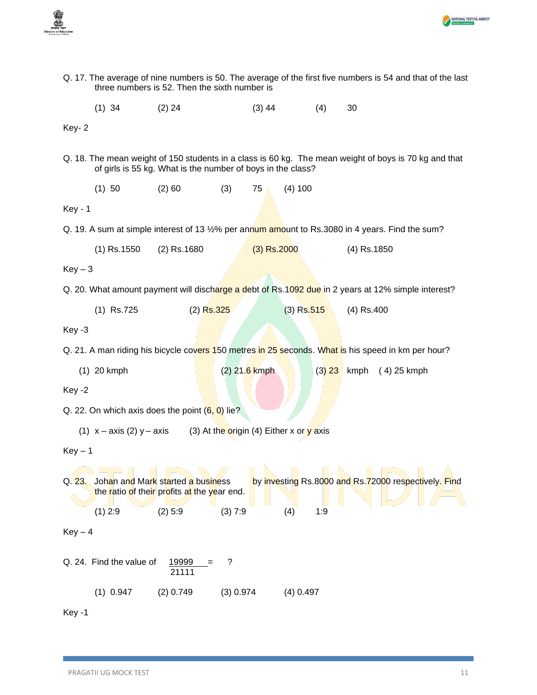



| Q. 17. The average of nine numbers is 50. The average of the first five numbers is 54 and that of the last<br>three numbers is 52. Then the sixth number is |                          |                                                                                  |               |               |              |     |               |                                                                                                       |
|-------------------------------------------------------------------------------------------------------------------------------------------------------------|--------------------------|----------------------------------------------------------------------------------|---------------|---------------|--------------|-----|---------------|-------------------------------------------------------------------------------------------------------|
|                                                                                                                                                             | $(1)$ 34                 | $(2)$ 24                                                                         |               | $(3)$ 44      |              | (4) | 30            |                                                                                                       |
| Key-2                                                                                                                                                       |                          |                                                                                  |               |               |              |     |               |                                                                                                       |
|                                                                                                                                                             |                          | of girls is 55 kg. What is the number of boys in the class?                      |               |               |              |     |               | Q. 18. The mean weight of 150 students in a class is 60 kg. The mean weight of boys is 70 kg and that |
|                                                                                                                                                             | (1) 50                   | (2) 60                                                                           | (3)           | 75            | (4) 100      |     |               |                                                                                                       |
| <b>Key - 1</b>                                                                                                                                              |                          |                                                                                  |               |               |              |     |               |                                                                                                       |
|                                                                                                                                                             |                          |                                                                                  |               |               |              |     |               | Q. 19. A sum at simple interest of 13 1/2% per annum amount to Rs.3080 in 4 years. Find the sum?      |
|                                                                                                                                                             | $(1)$ Rs.1550            | $(2)$ Rs.1680                                                                    |               | $(3)$ Rs.2000 |              |     | $(4)$ Rs.1850 |                                                                                                       |
| $Key-3$                                                                                                                                                     |                          |                                                                                  |               |               |              |     |               |                                                                                                       |
|                                                                                                                                                             |                          |                                                                                  |               |               |              |     |               | Q. 20. What amount payment will discharge a debt of Rs. 1092 due in 2 years at 12% simple interest?   |
|                                                                                                                                                             | $(1)$ Rs.725             | $(2)$ Rs.325                                                                     |               |               | $(3)$ Rs.515 |     | $(4)$ Rs.400  |                                                                                                       |
| Key -3                                                                                                                                                      |                          |                                                                                  |               |               |              |     |               |                                                                                                       |
|                                                                                                                                                             |                          |                                                                                  |               |               |              |     |               | Q. 21. A man riding his bicycle covers 150 metres in 25 seconds. What is his speed in km per hour?    |
|                                                                                                                                                             | $(1)$ 20 kmph            |                                                                                  | (2) 21.6 kmph |               |              |     |               | $(3)$ 23 kmph $(4)$ 25 kmph                                                                           |
| Key -2                                                                                                                                                      |                          |                                                                                  |               |               |              |     |               |                                                                                                       |
| Q. 22. On which axis does the point $(6, 0)$ lie?                                                                                                           |                          |                                                                                  |               |               |              |     |               |                                                                                                       |
| (1) $x - axis$ (2) $y - axis$ (3) At the origin (4) Either x or y axis                                                                                      |                          |                                                                                  |               |               |              |     |               |                                                                                                       |
| $Key - 1$                                                                                                                                                   |                          |                                                                                  |               |               |              |     |               |                                                                                                       |
| Q. 23.                                                                                                                                                      |                          | Johan and Mark started a business<br>the ratio of their profits at the year end. |               |               |              |     |               | by investing Rs.8000 and Rs.72000 respectively. Find                                                  |
|                                                                                                                                                             | $(1)$ 2:9                | $(2)$ 5:9                                                                        | (3) 7:9       |               | (4)          | 1:9 |               |                                                                                                       |
| $Key-4$                                                                                                                                                     |                          |                                                                                  |               |               |              |     |               |                                                                                                       |
|                                                                                                                                                             | Q. 24. Find the value of | 19999<br>21111                                                                   | ?             |               |              |     |               |                                                                                                       |
|                                                                                                                                                             | $(1)$ 0.947              | $(2)$ 0.749                                                                      | (3) 0.974     |               | $(4)$ 0.497  |     |               |                                                                                                       |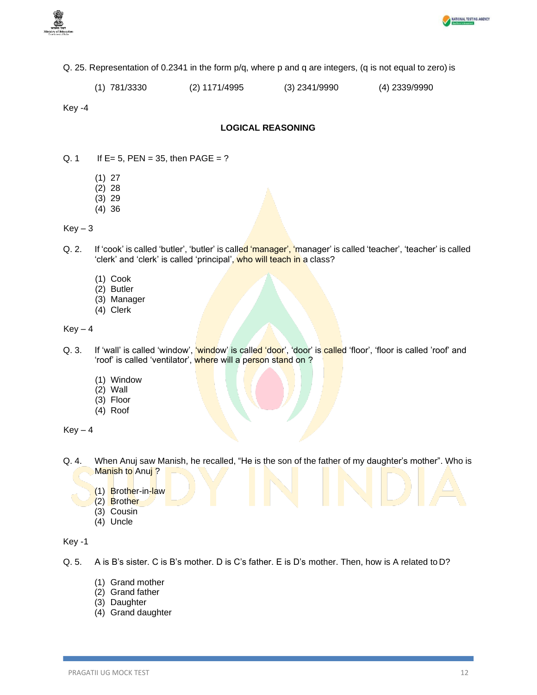



- Q. 25. Representation of 0.2341 in the form p/q, where p and q are integers, (q is not equal to zero) is
	- (1) 781/3330 (2) 1171/4995 (3) 2341/9990 (4) 2339/9990

#### **LOGICAL REASONING**

- Q. 1 If  $E = 5$ ,  $PEN = 35$ , then  $PAGE = ?$ 
	- (1) 27
	- (2) 28
	- (3) 29
	- (4) 36

#### $Key-3$

- Q. 2. If 'cook' is called 'butler', 'butler' is called 'manager', 'manager' is called 'teacher', 'teacher' is called 'clerk' and 'clerk' is called 'principal', who will teach in a class?
	- (1) Cook
	- (2) Butler
	- (3) Manager
	- (4) Clerk

#### $Key - 4$

- Q. 3. If 'wall' is called 'window', 'window' is called 'door', 'door' is called 'floor', 'floor is called 'roof' and 'roof' is called 'ventilator', where will a person stand on ?
	- (1) Window
	- (2) Wall
	- (3) Floor
	- (4) Roof

 $Key - 4$ 

- Q. 4. When Anuj saw Manish, he recalled, "He is the son of the father of my daughter's mother". Who is Manish to Anui?
	- (1) Brother-in-law
	- (2) Brother
	- (3) Cousin
	- (4) Uncle

- Q. 5. A is B's sister. C is B's mother. D is C's father. E is D's mother. Then, how is A related to D?
	- (1) Grand mother
	- (2) Grand father
	- (3) Daughter
	- (4) Grand daughter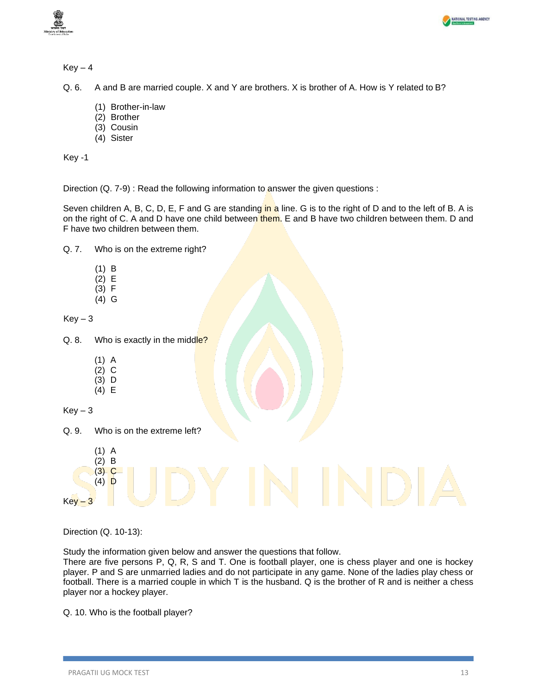



Q. 6. A and B are married couple. X and Y are brothers. X is brother of A. How is Y related to B?

- (1) Brother-in-law
- (2) Brother
- (3) Cousin
- (4) Sister

Key -1

Direction (Q. 7-9) : Read the following information to answer the given questions :

Seven children A, B, C, D, E, F and G are standing in a line. G is to the right of D and to the left of B. A is on the right of C. A and D have one child between them. E and B have two children between them. D and F have two children between them.

Q. 7. Who is on the extreme right?

- (1) B
- (2) E
- (3) F
- (4) G

 $Key-3$ 

Q. 8. Who is exactly in the middle?

- (1) A
- (2) C (3) D
- (4) E

```
Key - 3
```
Q. 9. Who is on the extreme left?

- (1) A
- (2) B (3) C
- $(4)$  D

 $Key - 3$ 

Direction (Q. 10-13):

Study the information given below and answer the questions that follow.

There are five persons P, Q, R, S and T. One is football player, one is chess player and one is hockey player. P and S are unmarried ladies and do not participate in any game. None of the ladies play chess or football. There is a married couple in which T is the husband. Q is the brother of R and is neither a chess player nor a hockey player.

Q. 10. Who is the football player?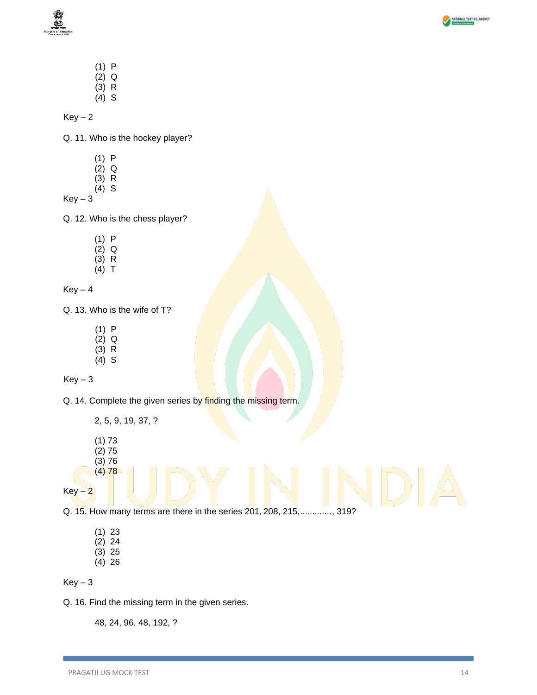



- (1) P  $(2)$  Q  $(3)$  R
- (4) S

 $Key-2$ 

Q. 11. Who is the hockey player?

- (1) P
- (2) Q (3) R
- (4) S

 $Key-3$ 

Q. 12. Who is the chess player?

- (1) P
- $(2)$  Q
- $(3)$  R  $(4)$  T

 $Key - 4$ 

Q. 13. Who is the wife of T?

- (1) P
- $(2)$  Q  $(3)$  R
- (4) S

 $Key-3$ 

Q. 14. Complete the given series by finding the missing term.

2, 5, 9, 19, 37, ? (1) 73

- $(2) 75$
- (3) 76  $(4) 78$

 $Key-2$ 

Q. 15. How many terms are there in the series 201, 208, 215,............., 319?

(1) 23 (2) 24 (3) 25 (4) 26

 $Key-3$ 

Q. 16. Find the missing term in the given series.

48, 24, 96, 48, 192, ?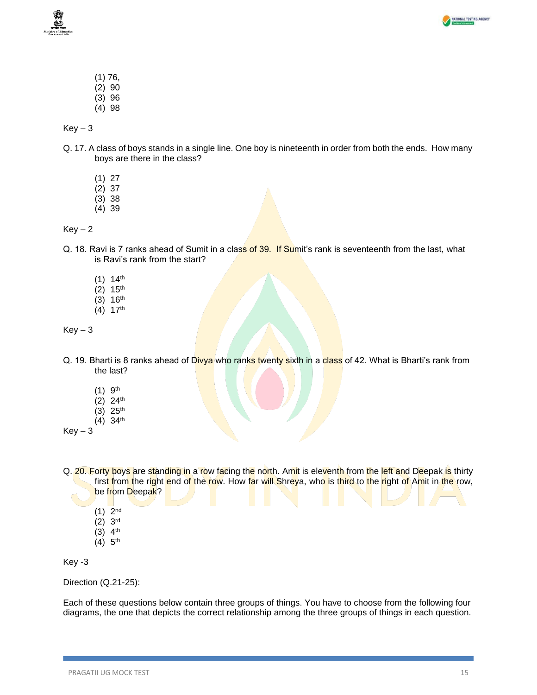

- (1) 76, (2) 90
- (3) 96
- (4) 98

- Q. 17. A class of boys stands in a single line. One boy is nineteenth in order from both the ends. How many boys are there in the class?
	- (1) 27
	- $(2)$  37
	- (3) 38
	- (4) 39

 $Key - 2$ 

- Q. 18. Ravi is 7 ranks ahead of Sumit in a class of 39. If Sumit's rank is seventeenth from the last, what is Ravi's rank from the start?
	- $(1)$  14<sup>th</sup>
	- $(2)$  15<sup>th</sup>
	- $(3)$  16<sup>th</sup>
	- $(4)$  17<sup>th</sup>

 $Key - 3$ 

- Q. 19. Bharti is 8 ranks ahead of Divya who ranks twenty sixth in a class of 42. What is Bharti's rank from the last?
	- $(1)$  9<sup>th</sup>
	- (2) 24th
	- $(3)$  25<sup>th</sup>  $(4)$  34<sup>th</sup>
- $Kev 3$
- Q. 20. Forty boys are standing in a row facing the north. Amit is eleventh from the left and Deepak is thirty first from the right end of the row. How far will Shreya, who is third to the right of Amit in the row, be from Deepak?
	- $(1)$  2<sup>nd</sup>
	- (2) 3 rd
	- $(3)$  4<sup>th</sup>
	- $(4)$  5<sup>th</sup>

Key -3

Direction (Q.21-25):

Each of these questions below contain three groups of things. You have to choose from the following four diagrams, the one that depicts the correct relationship among the three groups of things in each question.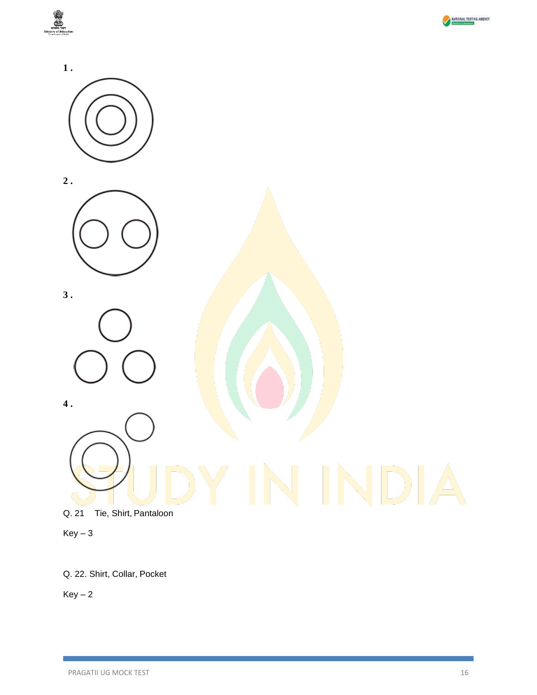





 $Key-3$ 

Q. 22. Shirt, Collar, Pocket

 $Key-2$